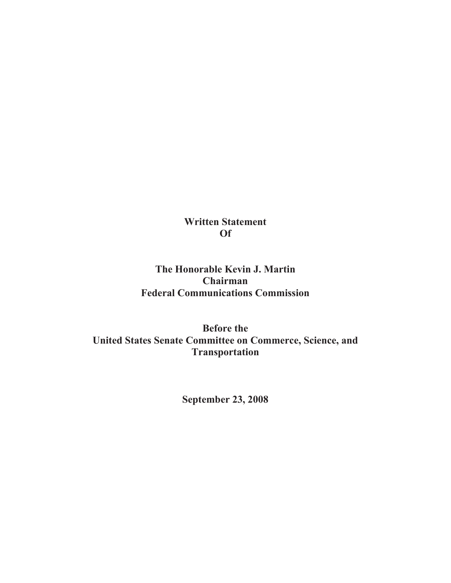**Written Statement Of**

# **The Honorable Kevin J. Martin Chairman Federal Communications Commission**

**Before the United States Senate Committee on Commerce, Science, and Transportation** 

**September 23, 2008**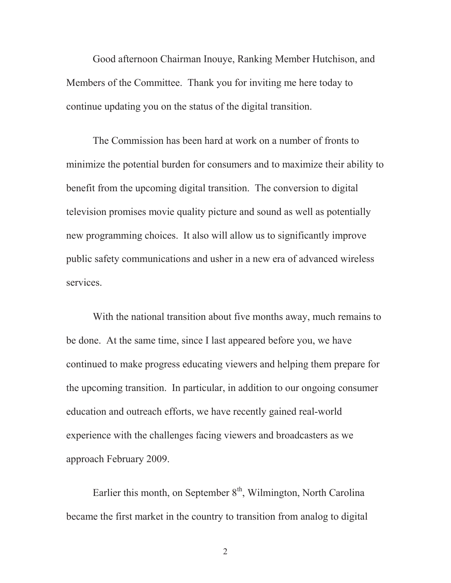Good afternoon Chairman Inouye, Ranking Member Hutchison, and Members of the Committee. Thank you for inviting me here today to continue updating you on the status of the digital transition.

The Commission has been hard at work on a number of fronts to minimize the potential burden for consumers and to maximize their ability to benefit from the upcoming digital transition. The conversion to digital television promises movie quality picture and sound as well as potentially new programming choices. It also will allow us to significantly improve public safety communications and usher in a new era of advanced wireless services.

With the national transition about five months away, much remains to be done. At the same time, since I last appeared before you, we have continued to make progress educating viewers and helping them prepare for the upcoming transition. In particular, in addition to our ongoing consumer education and outreach efforts, we have recently gained real-world experience with the challenges facing viewers and broadcasters as we approach February 2009.

Earlier this month, on September  $8<sup>th</sup>$ , Wilmington, North Carolina became the first market in the country to transition from analog to digital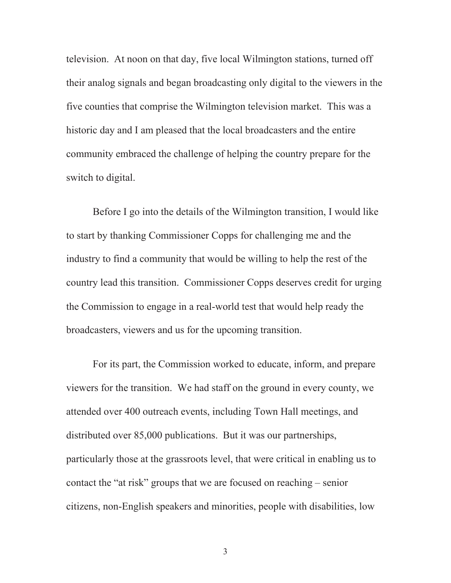television. At noon on that day, five local Wilmington stations, turned off their analog signals and began broadcasting only digital to the viewers in the five counties that comprise the Wilmington television market. This was a historic day and I am pleased that the local broadcasters and the entire community embraced the challenge of helping the country prepare for the switch to digital.

Before I go into the details of the Wilmington transition, I would like to start by thanking Commissioner Copps for challenging me and the industry to find a community that would be willing to help the rest of the country lead this transition. Commissioner Copps deserves credit for urging the Commission to engage in a real-world test that would help ready the broadcasters, viewers and us for the upcoming transition.

For its part, the Commission worked to educate, inform, and prepare viewers for the transition. We had staff on the ground in every county, we attended over 400 outreach events, including Town Hall meetings, and distributed over 85,000 publications. But it was our partnerships, particularly those at the grassroots level, that were critical in enabling us to contact the "at risk" groups that we are focused on reaching – senior citizens, non-English speakers and minorities, people with disabilities, low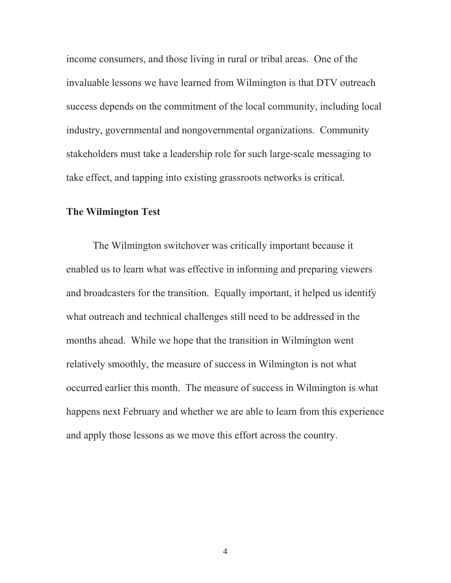income consumers, and those living in rural or tribal areas. One of the invaluable lessons we have learned from Wilmington is that DTV outreach success depends on the commitment of the local community, including local industry, governmental and nongovernmental organizations. Community stakeholders must take a leadership role for such large-scale messaging to take effect, and tapping into existing grassroots networks is critical.

### **The Wilmington Test**

The Wilmington switchover was critically important because it enabled us to learn what was effective in informing and preparing viewers and broadcasters for the transition. Equally important, it helped us identify what outreach and technical challenges still need to be addressed in the months ahead. While we hope that the transition in Wilmington went relatively smoothly, the measure of success in Wilmington is not what occurred earlier this month. The measure of success in Wilmington is what happens next February and whether we are able to learn from this experience and apply those lessons as we move this effort across the country.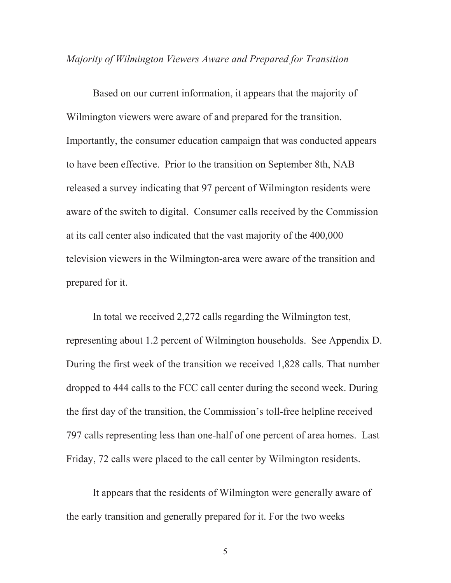#### *Majority of Wilmington Viewers Aware and Prepared for Transition*

Based on our current information, it appears that the majority of Wilmington viewers were aware of and prepared for the transition. Importantly, the consumer education campaign that was conducted appears to have been effective. Prior to the transition on September 8th, NAB released a survey indicating that 97 percent of Wilmington residents were aware of the switch to digital. Consumer calls received by the Commission at its call center also indicated that the vast majority of the 400,000 television viewers in the Wilmington-area were aware of the transition and prepared for it.

In total we received 2,272 calls regarding the Wilmington test, representing about 1.2 percent of Wilmington households. See Appendix D. During the first week of the transition we received 1,828 calls. That number dropped to 444 calls to the FCC call center during the second week. During the first day of the transition, the Commission's toll-free helpline received 797 calls representing less than one-half of one percent of area homes. Last Friday, 72 calls were placed to the call center by Wilmington residents.

It appears that the residents of Wilmington were generally aware of the early transition and generally prepared for it. For the two weeks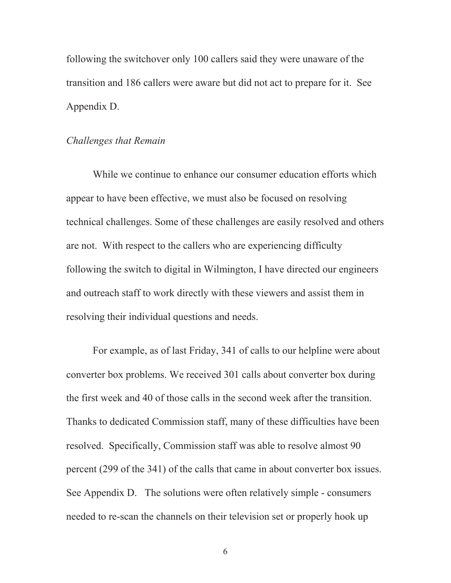following the switchover only 100 callers said they were unaware of the transition and 186 callers were aware but did not act to prepare for it. See Appendix D.

### *Challenges that Remain*

While we continue to enhance our consumer education efforts which appear to have been effective, we must also be focused on resolving technical challenges. Some of these challenges are easily resolved and others are not. With respect to the callers who are experiencing difficulty following the switch to digital in Wilmington, I have directed our engineers and outreach staff to work directly with these viewers and assist them in resolving their individual questions and needs.

For example, as of last Friday, 341 of calls to our helpline were about converter box problems. We received 301 calls about converter box during the first week and 40 of those calls in the second week after the transition. Thanks to dedicated Commission staff, many of these difficulties have been resolved. Specifically, Commission staff was able to resolve almost 90 percent (299 of the 341) of the calls that came in about converter box issues. See Appendix D. The solutions were often relatively simple - consumers needed to re-scan the channels on their television set or properly hook up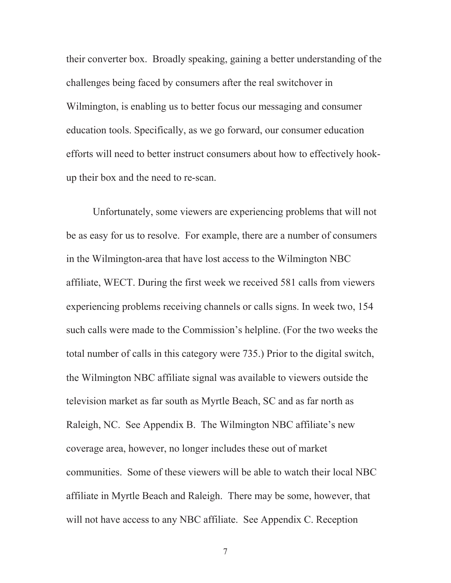their converter box. Broadly speaking, gaining a better understanding of the challenges being faced by consumers after the real switchover in Wilmington, is enabling us to better focus our messaging and consumer education tools. Specifically, as we go forward, our consumer education efforts will need to better instruct consumers about how to effectively hookup their box and the need to re-scan.

Unfortunately, some viewers are experiencing problems that will not be as easy for us to resolve. For example, there are a number of consumers in the Wilmington-area that have lost access to the Wilmington NBC affiliate, WECT. During the first week we received 581 calls from viewers experiencing problems receiving channels or calls signs. In week two, 154 such calls were made to the Commission's helpline. (For the two weeks the total number of calls in this category were 735.) Prior to the digital switch, the Wilmington NBC affiliate signal was available to viewers outside the television market as far south as Myrtle Beach, SC and as far north as Raleigh, NC. See Appendix B. The Wilmington NBC affiliate's new coverage area, however, no longer includes these out of market communities. Some of these viewers will be able to watch their local NBC affiliate in Myrtle Beach and Raleigh. There may be some, however, that will not have access to any NBC affiliate. See Appendix C. Reception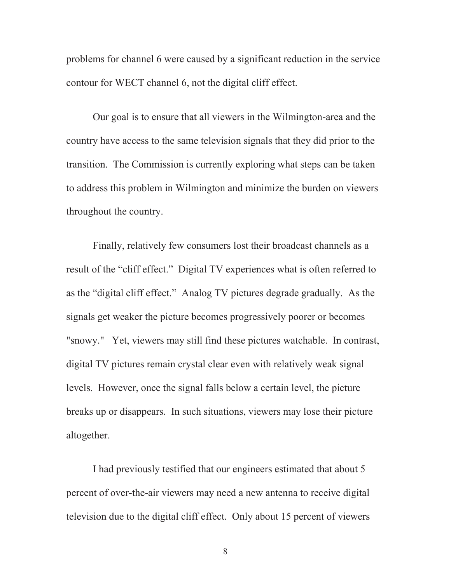problems for channel 6 were caused by a significant reduction in the service contour for WECT channel 6, not the digital cliff effect.

Our goal is to ensure that all viewers in the Wilmington-area and the country have access to the same television signals that they did prior to the transition. The Commission is currently exploring what steps can be taken to address this problem in Wilmington and minimize the burden on viewers throughout the country.

Finally, relatively few consumers lost their broadcast channels as a result of the "cliff effect." Digital TV experiences what is often referred to as the "digital cliff effect." Analog TV pictures degrade gradually. As the signals get weaker the picture becomes progressively poorer or becomes "snowy." Yet, viewers may still find these pictures watchable. In contrast, digital TV pictures remain crystal clear even with relatively weak signal levels. However, once the signal falls below a certain level, the picture breaks up or disappears. In such situations, viewers may lose their picture altogether.

I had previously testified that our engineers estimated that about 5 percent of over-the-air viewers may need a new antenna to receive digital television due to the digital cliff effect. Only about 15 percent of viewers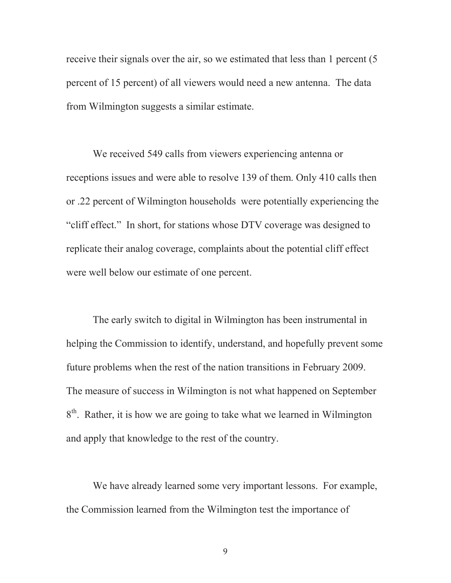receive their signals over the air, so we estimated that less than 1 percent (5 percent of 15 percent) of all viewers would need a new antenna. The data from Wilmington suggests a similar estimate.

We received 549 calls from viewers experiencing antenna or receptions issues and were able to resolve 139 of them. Only 410 calls then or .22 percent of Wilmington households were potentially experiencing the "cliff effect." In short, for stations whose DTV coverage was designed to replicate their analog coverage, complaints about the potential cliff effect were well below our estimate of one percent.

The early switch to digital in Wilmington has been instrumental in helping the Commission to identify, understand, and hopefully prevent some future problems when the rest of the nation transitions in February 2009. The measure of success in Wilmington is not what happened on September 8<sup>th</sup>. Rather, it is how we are going to take what we learned in Wilmington and apply that knowledge to the rest of the country.

We have already learned some very important lessons. For example, the Commission learned from the Wilmington test the importance of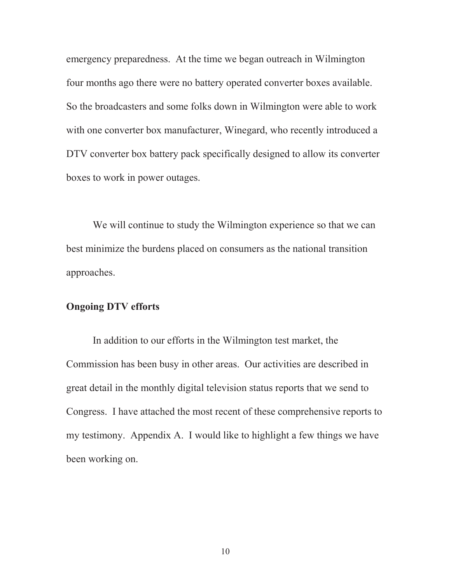emergency preparedness. At the time we began outreach in Wilmington four months ago there were no battery operated converter boxes available. So the broadcasters and some folks down in Wilmington were able to work with one converter box manufacturer, Winegard, who recently introduced a DTV converter box battery pack specifically designed to allow its converter boxes to work in power outages.

We will continue to study the Wilmington experience so that we can best minimize the burdens placed on consumers as the national transition approaches.

#### **Ongoing DTV efforts**

In addition to our efforts in the Wilmington test market, the Commission has been busy in other areas. Our activities are described in great detail in the monthly digital television status reports that we send to Congress. I have attached the most recent of these comprehensive reports to my testimony. Appendix A. I would like to highlight a few things we have been working on.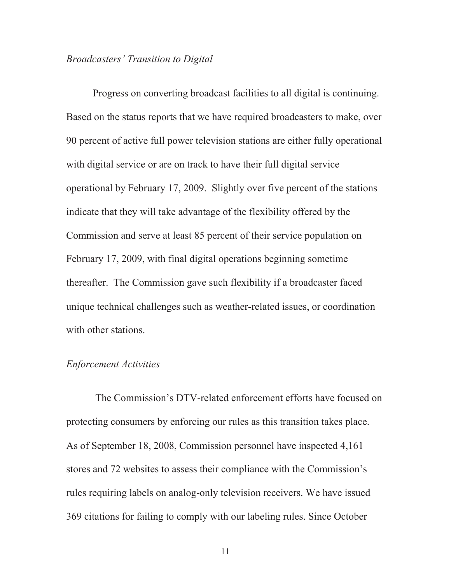## *Broadcasters' Transition to Digital*

Progress on converting broadcast facilities to all digital is continuing. Based on the status reports that we have required broadcasters to make, over 90 percent of active full power television stations are either fully operational with digital service or are on track to have their full digital service operational by February 17, 2009. Slightly over five percent of the stations indicate that they will take advantage of the flexibility offered by the Commission and serve at least 85 percent of their service population on February 17, 2009, with final digital operations beginning sometime thereafter. The Commission gave such flexibility if a broadcaster faced unique technical challenges such as weather-related issues, or coordination with other stations.

#### *Enforcement Activities*

The Commission's DTV-related enforcement efforts have focused on protecting consumers by enforcing our rules as this transition takes place. As of September 18, 2008, Commission personnel have inspected 4,161 stores and 72 websites to assess their compliance with the Commission's rules requiring labels on analog-only television receivers. We have issued 369 citations for failing to comply with our labeling rules. Since October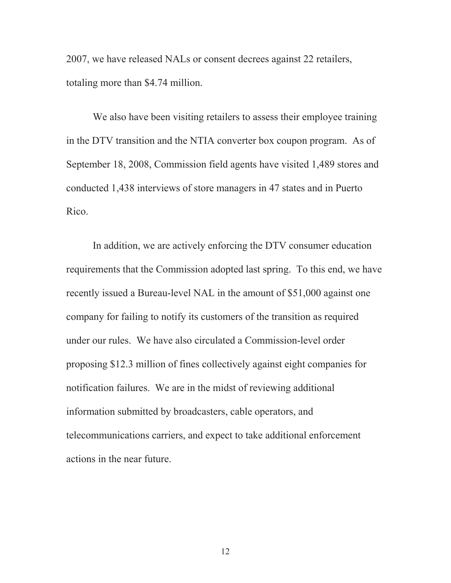2007, we have released NALs or consent decrees against 22 retailers, totaling more than \$4.74 million.

We also have been visiting retailers to assess their employee training in the DTV transition and the NTIA converter box coupon program. As of September 18, 2008, Commission field agents have visited 1,489 stores and conducted 1,438 interviews of store managers in 47 states and in Puerto Rico.

In addition, we are actively enforcing the DTV consumer education requirements that the Commission adopted last spring. To this end, we have recently issued a Bureau-level NAL in the amount of \$51,000 against one company for failing to notify its customers of the transition as required under our rules. We have also circulated a Commission-level order proposing \$12.3 million of fines collectively against eight companies for notification failures. We are in the midst of reviewing additional information submitted by broadcasters, cable operators, and telecommunications carriers, and expect to take additional enforcement actions in the near future.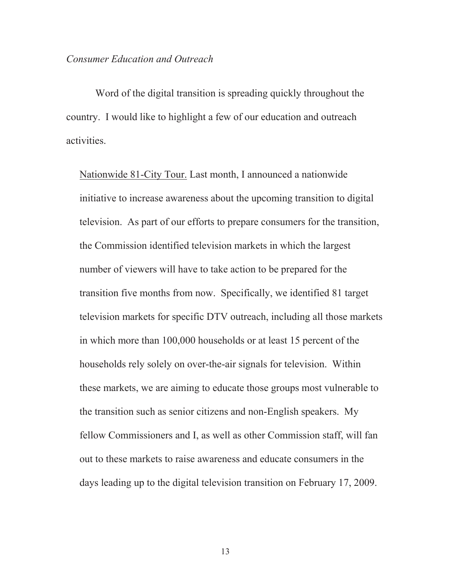#### *Consumer Education and Outreach*

Word of the digital transition is spreading quickly throughout the country. I would like to highlight a few of our education and outreach activities.

Nationwide 81-City Tour. Last month, I announced a nationwide initiative to increase awareness about the upcoming transition to digital television. As part of our efforts to prepare consumers for the transition, the Commission identified television markets in which the largest number of viewers will have to take action to be prepared for the transition five months from now. Specifically, we identified 81 target television markets for specific DTV outreach, including all those markets in which more than 100,000 households or at least 15 percent of the households rely solely on over-the-air signals for television. Within these markets, we are aiming to educate those groups most vulnerable to the transition such as senior citizens and non-English speakers. My fellow Commissioners and I, as well as other Commission staff, will fan out to these markets to raise awareness and educate consumers in the days leading up to the digital television transition on February 17, 2009.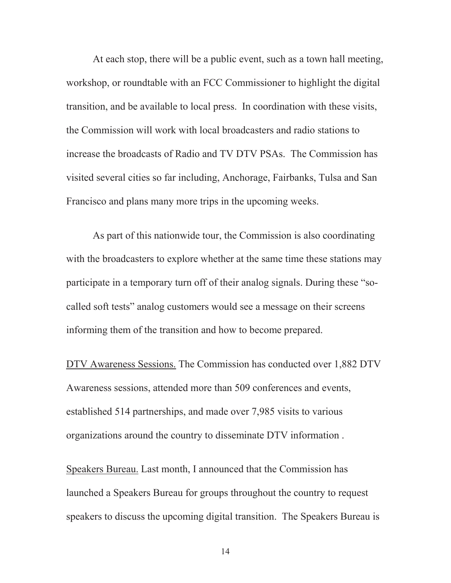At each stop, there will be a public event, such as a town hall meeting, workshop, or roundtable with an FCC Commissioner to highlight the digital transition, and be available to local press. In coordination with these visits, the Commission will work with local broadcasters and radio stations to increase the broadcasts of Radio and TV DTV PSAs. The Commission has visited several cities so far including, Anchorage, Fairbanks, Tulsa and San Francisco and plans many more trips in the upcoming weeks.

As part of this nationwide tour, the Commission is also coordinating with the broadcasters to explore whether at the same time these stations may participate in a temporary turn off of their analog signals. During these "socalled soft tests" analog customers would see a message on their screens informing them of the transition and how to become prepared.

DTV Awareness Sessions. The Commission has conducted over 1,882 DTV Awareness sessions, attended more than 509 conferences and events, established 514 partnerships, and made over 7,985 visits to various organizations around the country to disseminate DTV information .

Speakers Bureau. Last month, I announced that the Commission has launched a Speakers Bureau for groups throughout the country to request speakers to discuss the upcoming digital transition. The Speakers Bureau is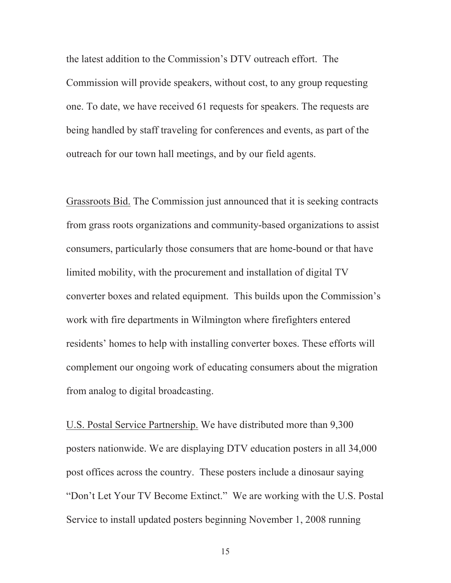the latest addition to the Commission's DTV outreach effort. The Commission will provide speakers, without cost, to any group requesting one. To date, we have received 61 requests for speakers. The requests are being handled by staff traveling for conferences and events, as part of the outreach for our town hall meetings, and by our field agents.

Grassroots Bid. The Commission just announced that it is seeking contracts from grass roots organizations and community-based organizations to assist consumers, particularly those consumers that are home-bound or that have limited mobility, with the procurement and installation of digital TV converter boxes and related equipment. This builds upon the Commission's work with fire departments in Wilmington where firefighters entered residents' homes to help with installing converter boxes. These efforts will complement our ongoing work of educating consumers about the migration from analog to digital broadcasting.

U.S. Postal Service Partnership. We have distributed more than 9,300 posters nationwide. We are displaying DTV education posters in all 34,000 post offices across the country. These posters include a dinosaur saying "Don't Let Your TV Become Extinct." We are working with the U.S. Postal Service to install updated posters beginning November 1, 2008 running